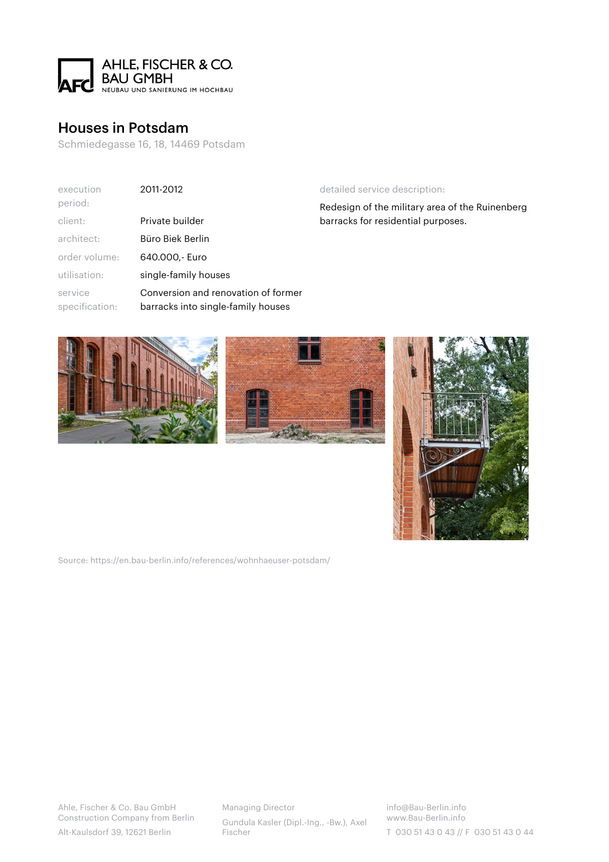

## [Houses in Potsdam](https://en.bau-berlin.info/references/wohnhaeuser-potsdam/)

Schmiedegasse 16, 18, 14469 Potsdam

| execution<br>period:      | 2011-2012                                                                 |
|---------------------------|---------------------------------------------------------------------------|
| client:                   | Private builder                                                           |
| architect:                | Büro Biek Berlin                                                          |
| order volume:             | 640.000.- Euro                                                            |
| utilisation:              | single-family houses                                                      |
| service<br>specification: | Conversion and renovation of former<br>barracks into single-family houses |

## detailed service description:

Redesign of the military area of the Ruinenberg barracks for residential purposes.







Source: https://en.bau-berlin.info/references/wohnhaeuser-potsdam/